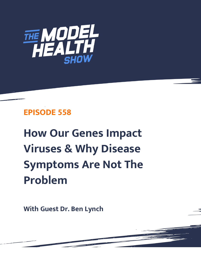

# **EPISODE 558**

**How Our Genes Impact Viruses & Why Disease Symptoms Are Not The Problem**

**With Guest Dr. Ben Lynch**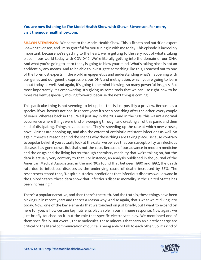## **You are now listening to The Model Health Show with Shawn Stevenson. For more, visit themodelhealthshow.com.**

**SHAWN STEVENSON:** Welcome to the Model Health Show. This is fitness and nutrition expert Shawn Stevenson, and I'm so grateful for you tuning in with me today. This episode is incredibly important, because we're getting to the heart, we're getting to the very root of what's taking place in our world today with COVID-19. We're literally getting into the domain of our DNA. And what you're going to learn today is going to blow your mind. What's taking place is not an accident by any means. And to be able to investigate something like this, I reached out to one of the foremost experts in the world in epigenetics and understanding what's happening with our genes and our genetic expression, our DNA and methylation, which you're going to learn about today as well. And again, it's going to be mind-blowing, so many powerful insights. But most importantly, it's empowering. It's giving us some tools that we can use right now to be more resilient, especially moving forward, because the next thing is coming.

This particular thing is not seeming to let up, but this is just possibly a preview. Because as a species, if you haven't noticed, in recent years it's been one thing after the other, every couple of years. Whereas back in the... We'll just say in the '90s and in the '80s, this wasn't a normal occurrence where things were kind of sweeping through and creating all of this panic and then kind of dissipating. Things have become... They're speeding up the rate at which new viruses, novel viruses are popping up, and also the extent of antibiotic-resistant infections as well. So again, there's a reason behind the scenes why these things are taking place. Because contrary to popular belief, if you actually look at the data, we believe that our susceptibility to infectious diseases has gone down. But that's not the case. Because of our advance in modern medicine and the drugs and the living better through chemistry modality that we're taking on, but the data is actually very contrary to that. For instance, an analysis published in the Journal of the American Medical Association, in the mid '90s found that between 1980 and 1992, the death rate due to infectious diseases as the underlying cause of death, increased by 58%. The researchers stated that, "Despite historical predictions that infectious diseases would wane in the United States, these data show that infectious disease mortality in the United States has been increasing."

There's a popular narrative, and then there's the truth. And the truth is, these things have been picking up in recent years and there's a reason why. And so again, that's what we're diving into today. Now, one of the key elements that we touched on just briefly, but I want to expand on here for you, is how certain key nutrients play a role in our immune response. Now again, we just briefly touched on it, but the role that specific electrolytes play. We mentioned one of them specifically. But overall, these molecules, these minerals that carry an electric charge are critical to the literal communication of our cells being able to talk to each other. So, it's kind of

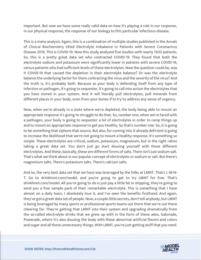important. But now we have some really valid data on how it's playing a role in our response, in our physical response, the response of our biology to this particular infectious disease.

This is a meta-analysis. Again, this is a combination of multiple studies published in the Annals of Clinical Biochemistry titled Electrolyte Imbalance in Patients with Severe Coronavirus Disease 2019. This is COVID-19. Now this study analyzed five studies with nearly 1500 patients. So, this is a pretty great data set who contracted COVID-19. They found that both the electrolyte sodium and potassium were significantly lower in patients with severe COVID-19, versus patients who had sufficient levels of these electrolytes. Now the question could be, was it COVID-19 that caused the depletion in their electrolyte balance? Or was the electrolyte balance the underlying factor for them contracting the virus and the severity of the virus? And the truth is, it's probably both. Because as your body is defending itself from any type of infection or pathogen, it's going to sequester, it's going to call into action the electrolytes that you have stored in your system. And it will literally pull electrolytes, pull minerals from different places in your body, even from your bones if to try to address any sense of urgency.

Now, when we're already in a state where we're depleted, the body being able to mount an appropriate response it's going to struggle to do that. So, number one, when we're faced with a pathogen, your body is going to sequester a lot of electrolytes in order to ramp things up and to mount an appropriate response to get you healthy. So that's number one. So, it is going to be something that siphons that source. But also, for coming into it already deficient is going to increase the likelihood that we're not going to mount a healthy response. It's something so simple. These electrolytes are critical, sodium, potassium, magnesium, but in the right ratios taking a great data set. You don't just go start dousing yourself with these different electrolytes. And these, basically, these are different forms of salts. There isn't just sodium salt. That's what we think about in our popular concept of electrolytes or sodium or salt. But there's magnesium salts. There's potassium salts. There's calcium salts.

And so, the very best data set that we have was leveraged by the folks at LMNT. That's L-M-N-T. Go to drinklmnt.com/model, and you're going to get to try LMNT for free. That's drinklmnt.com/model. All you're going to do is just pay a little bit in shipping, they're going to send you a free sample pack of their remarkable electrolyte. This is something that I have almost on a daily basis. I absolutely love it, and I've seen the benefits firsthand. And again, they've got a great data set of people. Now, a couple little secrets, don't tell anybody, but LMNT is being leveraged by many sports or professional sports teams out there that we're out there cheering for. They're getting that LMNT into their system and upgrading dramatically from the so-called electrolyte drinks that we grew up with in the form of these ades, Gatorade, Powerade, where it's also dousing the body with these abnormal artificial flavors and colors and sugar and all these unnecessary things. With LMNT, you're just getting stuff that you need.

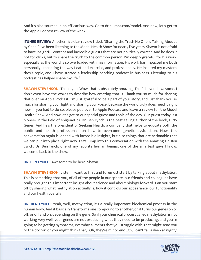And it's also sourced in an efficacious way. Go to drinklmnt.com/model. And now, let's get to the Apple Podcast review of the week.

**ITUNES REVIEW:** Another five-star review titled, "Sharing the Truth No One is Talking About", by Chad. "I've been listening to the Model Health Show for nearly five years. Shawn is not afraid to have insightful content and incredible guests that are not politically correct. And he does it not for clicks, but to share the truth to the common person. I'm deeply grateful for his work, especially as the world is so overloaded with misinformation. His work has impacted me both personally, impacting the way I eat and exercise, and professionally. He inspired my master's thesis topic, and I have started a leadership coaching podcast in business. Listening to his podcast has helped shape my life."

**SHAWN STEVENSON:** Thank you. Wow, that is absolutely amazing. That's beyond awesome. I don't even have the words to describe how amazing that is. Thank you so much for sharing that over on Apple Podcast. I'm just grateful to be a part of your story, and just thank you so much for sharing your light and sharing your voice, because the world truly does need it right now. If you had to do so, please pop over to Apple Podcast and leave a review for the Model Health Show. And now let's get to our special guest and topic of the day. Our guest today is a pioneer in the field of epigenetics. Dr. Ben Lynch is the best-selling author of the book, Dirty Genes. And he's the president of Seeking Health, a company that helps to educate both the public and health professionals on how to overcome genetic dysfunction. Now, this conversation again is loaded with incredible insights, but also things that are actionable that we can put into place right now. Let's jump into this conversation with the amazing Dr. Ben Lynch. Dr. Ben lynch, one of my favorite human beings, one of the smartest guys I know, welcome back to the show.

**DR. BEN LYNCH:** Awesome to be here, Shawn.

**SHAWN STEVENSON:** Listen, I want to first and foremost start by talking about methylation. This is something that you, of all of the people in our sphere, our friends and colleagues have really brought this important insight about science and about biology forward. Can you start off by sharing what methylation actually is, how it controls our appearance, our functionality and our health overall?

**DR. BEN LYNCH:** Yeah, well, methylation, it's a really important biochemical process in the human body. And it basically transforms one compound to another, or it turns our genes on or off, or off and on, depending on the gene. So if your chemical process called methylation is not working very well, your genes are not producing what they need to be producing, and you're going to be getting symptoms, everyday ailments that you struggle with, that might send you [to the doctor, or you might think that, "Oh, they](https://themodelhealthshow.com/dr-ben-lynch/)'[re minor enough, I can](https://themodelhealthshow.com/dr-ben-lynch/)'[t fall asleep at night,"](https://themodelhealthshow.com/dr-ben-lynch/)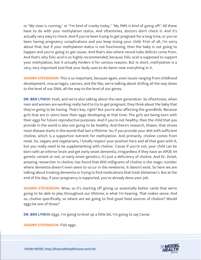or "My nose is running," or "I'm kind of cranky today." "My PMS is kind of going off." All these have to do with your methylation status. And oftentimes, doctors don't check it. And it's actually very easy to check. And if you've been trying to get pregnant for a long time, or you've been having pregnancy complications and you keep losing your child. First of all, I'm sorry about that, but if your methylation status is not functioning, then the baby is not going to happen and you're going to get issues. And that's also where neural tube defects come from. And that's why folic acid is so highly recommended, because folic acid is supposed to support your methylation, but it actually hinders it for various reasons. But in short, methylation is a very, very important tool that your body uses to do damn near everything in it.

**SHAWN STEVENSON:** This is so important, because again, even issues ranging from childhood development, miscarriages, cancers, and the like, we're talking about drilling all the way down to the level of our DNA, all the way to the level of our genes.

**DR. BEN LYNCH:** Yeah, and we're also talking about the next generation. So oftentimes, when men and women are working really hard to try to get pregnant, they think about the baby that they're going to be having. That's key, right? But you're also affecting the grandkids. Because girls that are in utero have their eggs developing at that time. The girls are being born with their eggs for future reproductive purposes. And if you're not healthy, then the child that you provide in the world is also not going to be healthy. And there's research, Shawn, that shows most disease starts in the womb that last a lifetime. So, if you provide your diet with sufficient choline, which is a supportive nutrient for methylation. And primarily, choline comes from meat. So, vegans and vegetarians, I totally respect your position here and all that goes with it, but you really need to be supplementing with choline. 'Cause if you're not, your child can be born with an inferior brain and get early onset dementia, irregardless if they have an APOE 44 genetic variant or not, or early onset genetics, it's just a deficiency of choline. And Dr. Zeisel, amazing researcher in choline, has found that 800 milligrams of choline is the magic number where dementia doesn't even seem to occur in the newborns. It doesn't exist. So here we are talking about treating dementia or trying to find medications that treat Alzheimer's. But at the end of the day, if your pregnancy is supported, you've already done your job.

**SHAWN STEVENSON:** Wow, so it's starting off giving us essentially better cards that we're going to be able to play throughout our lifetime, is what I'm hearing. That makes sense. And so, choline specifically, so where are we going to find good food sources of choline? Would eggs be one of those?

**DR. BEN LYNCH:** Eggs. I'm going to level up a little bit, I'm going to say Caviar.

**SHAWN STEVENSON:** Fish eggs.

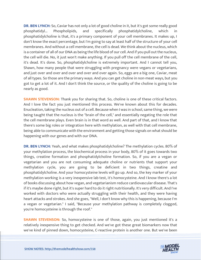**DR. BEN LYNCH:** So, Caviar has not only a lot of good choline in it, but it's got some really good phosphatidyl... Phospholipids, and specifically phosphatidylcholine, which in phosphatidylcholine is that, it's a primary component of your cell membranes. It makes up, I don't know the exact percentage, but I'm going to say at least half of the structure of your cell membranes. And without a cell membrane, the cell is dead. We think about the nucleus, which is a container of all of our DNA as being the life blood of our cell. And if you pull out the nucleus, the cell will die. No, it just won't make anything. If you pull off the cell membrane of the cell, it's dead. It's done. So, phosphatidylcholine is extremely important. And I cannot tell you, Shawn, how many people that were struggling with pregnancy were vegans or vegetarians, and just over and over and over and over and over again. So, eggs are a big one, Caviar, meat of all types. So those are the primary ways. And you can get choline in non-meat ways, but you got to get a lot of it. And I don't think the source, or the quality of the choline is going to be nearly as good.

**SHAWN STEVENSON:** Thank you for sharing that. So, choline is one of these critical factors. And I love the fact you just mentioned this process. We've known about this for decades. Enucleation, taking the nucleus out of a cell. Because when I was in school, same thing, we were being taught that the nucleus is the "brain of the cell," and essentially negating the role that the cell membrane plays. Even brain is in that word as well. And part of that, and I know that there's some big roles or integration here with methylation, as well with that cell membrane, being able to communicate with the environment and getting those signals on what should be happening with our genes and with our DNA.

**DR. BEN LYNCH:** Yeah, and what makes phosphatidylcholine? The methylation cycles. 80% of your methylation process, the biochemical process in your body, 80% of it goes towards two things, creatine formation and phosphatidylcholine formation. So, if you are a vegan or vegetarian and you are not consuming adequate choline or nutrients that support your methylation cycle, you are going to be deficient in two things, creatine and phosphatidylcholine. And your homocysteine levels will go up. And so, the key marker of your methylation working is a very inexpensive lab test, it's homocysteine. And I know there's a lot of books discussing about how vegan, and vegetarianism reduce cardiovascular disease. That's if it's maybe done right, but it's super hard to do it right nutritionally. It's very difficult. And I've worked with doctors who were actually struggling with their health, and they were having heart attacks and strokes. And she goes, "Well, I don't know why this is happening, because I'm a vegan or vegetarian." I said, "Because your methylation pathway is completely clogged, you're homocysteine is through the roof."

**SHAWN STEVENSON:** So, homocysteine is one of those, again, you just mentioned it's a relatively inexpensive thing to get checked. And we've got these great biomarkers now that [we](https://themodelhealthshow.com/dr-ben-lynch/)'[ve kind of pinned down, homocysteine, C-reactive protein is another one. But we](https://themodelhealthshow.com/dr-ben-lynch/)'[ve been](https://themodelhealthshow.com/dr-ben-lynch/)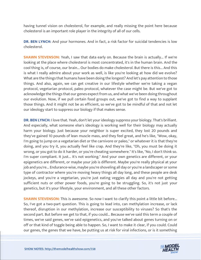having tunnel vision on cholesterol, for example, and really missing the point here because cholesterol is an important role player in the integrity of all of our cells.

**DR. BEN LYNCH:** And your hormones. And in fact, a risk factor for suicidal tendencies is low cholesterol.

**SHAWN STEVENSON:** Yeah, I saw that data early on. Because the brain is actually... If we're looking at the place where cholesterol is most concentrated, it's in the human brain. And the cool thing is, of course, our brain... Our bodies do make cholesterol. But there is this... And this is what I really admire about your work as well, is like you're looking at how did we evolve? What are the things that humans have been doing the longest? And let's pay attention to those things. And also, again, we can get creative in our lifestyle whether we're taking a vegan protocol, vegetarian protocol, paleo protocol, whatever the case might be. But we've got to acknowledge the things that our genes expect from us, and what we've been doing throughout our evolution. Now, if we pull certain food groups out, we've got to find a way to supplant those things. And it might not be as efficient, so we've got to be mindful of that and not let our ideology start to suppress our biology if that makes sense.

**DR. BEN LYNCH:** I love that. Yeah, don't let your ideology suppress your biology. That's brilliant. And especially, what someone else's ideology is working well for their biology may actually harm your biology. Just because your neighbor is super excited, they lost 20 pounds and they've gained 10 pounds of lean muscle mass, and they feel great, and he's like, "Wow, okay, I'm going to jump on a vegetarian diet or the carnivore or paleo," or whatever it is that they're doing, and you try it, you actually feel like crap. And they're like, "Oh, you must be doing it wrong, or you got to do it harder, or you're cheating somewhere." It's like, "No, I don't think so. I'm super compliant. It just... It's not working." And your own genetics are different, or your epigenetics are different, or maybe your job is different. Maybe you're really physical at your job and you're... Endurance-wise, maybe you're shoveling all day or you're a landscaper or some type of contractor where you're moving heavy things all day long, and these people are desk jockeys, and you're a vegetarian, you're just eating veggies all day and you're not getting sufficient nuts or other power foods, you're going to be struggling. So, it's not just your genetics, but it's your lifestyle, your environment, and all these other factors.

**SHAWN STEVENSON:** This is awesome. So now I want to clarify this point a little bit before... So, I've got a two-part question. This is going to lead into, can methylation increase, or lack thereof, disruption in our methylation, increase our susceptibility to viruses? So that's the second part. But before we get to that, if you could... Because we've said this term a couple of times, we've said genes, we've said epigenetics, and you've talked about genes turning on or off or that kind of toggle being able to happen. So, I want to make it clear, if you could. Could [our genes, the genes that we have, be putting us at risk for viral infections, or is it something](https://themodelhealthshow.com/dr-ben-lynch/)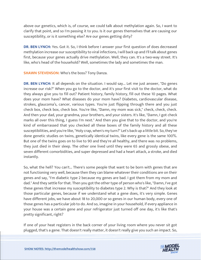above our genetics, which is, of course, we could talk about methylation again. So, I want to clarify that point, and so I'm passing it to you. Is it our genes themselves that are causing our susceptibility, or is it something else? Are our genes getting dirty?

**DR. BEN LYNCH:** Yes. Got it. So, I think before I answer your first question of does decreased methylation increase our susceptibility to viral infections, I will back up and I'll talk about genes first, because your genes actually drive methylation. Well, they can. It's a two-way street. It's like, who's head of the household? Well, sometimes the lady and sometimes the man.

**SHAWN STEVENSON:** Who's the boss? Tony Danza.

**DR. BEN LYNCH:** It all depends on the situation. I would say... Let me just answer, "Do genes increase our risk?" When you go to the doctor, and it's your first visit to the doctor, what do they always give you to fill out? Patient history, family history, fill out these 10 pages. What does your mom have? What diseases do your mom have? Diabetes, cardiovascular disease, strokes, glaucoma's, cancer, various types. You're just flipping through there and you just check box, check box, check box. You're like, "Damn, my mom was sick," check, check, check. And then your dad, your grandma, your brothers, and your sisters. It's like, "Damn, I got check marks all over this thing, I guess I'm next." And then you give that to the doctor, and you're kind of embarrassed that you checked all these boxes of the family history and all these susceptibilities, and you're like, "Holy crap, when's my turn?" Let's back up a little bit. So, they've done genetic studies on twins, genetically identical twins, like every gene is the same 100%. But one of the twins goes on to live to 90 and they're all healthy, and there was no problems, they just died in their sleep. The other one lived until they were 65 and grossly obese, and seven different comorbidities, and super depressed and had a heart attack, a stroke, and died instantly.

So, what the hell? You can't... There's some people that want to be born with genes that are not functioning very well, because then they can blame whatever their conditions are on their genes and say, "I'm diabetic type 2 because my genes are bad. I got them from my mom and dad." And they settle for that. Then you got the other type of person who's like, "Damn, I've got these genes that increase my susceptibility to diabetes type 2. Why is that?" And they look at those particular genes, because if we understand what a gene does, it's very simple. Genes have different jobs, we have about 18 to 20,000 or so genes in our human body, every one of those genes has a particular job to do. And so, imagine in your household, if every appliance in your house was a certain gene and your refrigerator just turned off one day, it's like that's pretty significant, right?

If one of your heat registers in the back corner of your living room where you never sit got [plugged, that](https://themodelhealthshow.com/dr-ben-lynch/)'[s a gene. That doesn](https://themodelhealthshow.com/dr-ben-lynch/)'[t really matter, it doesn](https://themodelhealthshow.com/dr-ben-lynch/)'[t really give you such an impact. So,](https://themodelhealthshow.com/dr-ben-lynch/) 

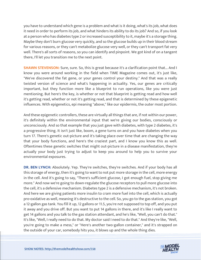you have to understand which gene is a problem and what is it doing, what's its job, what does it need in order to perform its job, and what hinders its ability to do its job? And so, if you look at a person who has diabetes type 2 or increased susceptibility to it, maybe it's a storage thing. Maybe they don't burn glucose very quickly, and so the glucose builds up in their blood stream for various reasons, or they can't metabolize glucose very well, or they can't transport fat very well. There's all sorts of reasons, so you can identify and pinpoint. We got kind of on a tangent there, I'll let you transition me to the next point.

**SHAWN STEVENSON:** Sure, sure. So, this is great because it's a clarification point that... And I know you were around working in the field when TIME Magazine comes out, it's just like, "We've discovered the fat gene, or your genes control your destiny." And that was a really twisted version of science and what's happening in actuality. Yes, our genes are critically important, but they function more like a blueprint to run operations, like you were just mentioning. But here's the key, is whether or not that blueprint is getting read and how well it's getting read, whether or not it's getting read, and that is determined by these epigenetic influences. With epigenetics, epi meaning "above," like our epidermis, the outer most portion.

And these epigenetic controllers, these are virtually all things that are, if not within our power, it's definitely within the environmental input that we're giving our bodies, consciously or unconsciously. And so that example that you just gave with diabetes, with type 2 diabetes, it's a progressive thing. It isn't just like, boom, a gene turns on and you have diabetes when you turn 17. There's genetic out-picture and it's taking place over time that are changing the way that your body functions, and here's the craziest part, and I know you know this as well. Oftentimes these genetic switches that might out-picture in a disease manifestation, they're actually your body just trying to adjust to keep you around to help you to survive your environmental exposures.

**DR. BEN LYNCH:** Absolutely. Yep. They're switches, they're switches. And if your body has all this storage of energy, then it's going to want to not put more storage in the cell, more energy in the cell. And it's going to say, "There's sufficient glucose, I got enough fuel, stop giving me more." And now we're going to down-regulate the glucose receptors to pull more glucose into the cell, it's a defensive mechanism. Diabetes type 2 is a defensive mechanism, it's not broken. And here we are giving patients more insulin to cram more fuel into the cell, which is actually pro-oxidative as well, meaning it's destructive to the cell. So, you go to the gas station, you got a 12-gallon gas tank. You fill it up, 12 gallons or 11.5, you're not supposed to top off, and you put it away and you drive off. But you want to put 14 gallons in there, and it's like I really want to get 14 gallons and you talk to the gas station attendant, and he's like, "Well, you can't do that." It's like, "Well, I really need to do that. My doctor said I need to do that." And they're like, "Well, you're going to make a mess," or "Here's another two-gallon container," and it's strapped on the [outside of your car, somebody hits you, it blows up and the whole thing dies.](https://themodelhealthshow.com/dr-ben-lynch/)

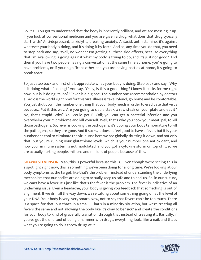So, it's... You got to understand that the body is inherently brilliant, and we are messing it up. If you look at conventional medicine and you are given a drug, what does that drug typically start with? Anti-depressant, anxiolytic, breaking anxiety. Antacid, antihistamine, it's against whatever your body is doing, and it's doing it by force. And so, any time you do that, you need to step back and say, "Well, no wonder I'm getting all these side effects, because everything that I'm swallowing is going against what my body is trying to do, and it's just not good." And then if you have two people having a conversation at the same time at home, you're going to have problems, or if your significant other and you are having battles at home, it's going to break apart.

So just step back and first of all, appreciate what your body is doing. Step back and say, "Why is it doing what it's doing?" And say, "Okay, is this a good thing? I know it sucks for me right now, but is it doing its job?" Fever is a big one. The number one recommendation by doctors all across the world right now for this viral illness is take Tylenol, go home and be comfortable. You just shut down the number one thing that your body needs in order to eradicate that virus because... Put it this way. Are you going to slap a steak, a raw steak on your plate and eat it? No, that's stupid. Why? You could get E. Coli; you can get a bacterial infection and you overwhelm your microbiome and kill yourself. Well, that's why you cook your meat, pal, to kill those pathogens. So, fever is cooking the pathogens, it's upping your body temperature to kill the pathogens, so they are gone. And it sucks, it doesn't feel good to have a fever, but it is your number one tool to eliminate the virus. And here we are globally shutting it down, and not only that, but you're ruining your glutathione levels, which is your number one antioxidant, and now your immune system is not modulated, and you got a cytokine storm on top of it, so we are actually hurting people, millions and millions of people because of this.

**SHAWN STEVENSON:** Man, this is powerful because this is... Even though we're seeing this in a spotlight right now, this is something we've been doing for a long time. We're looking at our body symptoms as the target, like that's the problem, instead of understanding the underlying mechanism that our bodies are doing to actually keep us safe and to heal us. So, in our culture, we can't have a fever. It's just like that's the fever is the problem. The fever is indicative of an underlying issue. Even a headache, your body is giving you feedback that something is out of alignment. If we drill all the way down, we're talking about something going on at the level of your DNA. Your body is very, very smart. Now, not to say that fevers can't be too much. There is a space for that, but that's in a small... That's in a minority situation, but we're treating all fevers the same and not allowing the body like it's okay to be "sick" and create the conditions for your body to kind of gracefully transition through that instead of treating it... Basically, if you've got the one tool of being a hammer with drugs, everything looks like a nail, and that's what you're going to do is throw drugs at it.

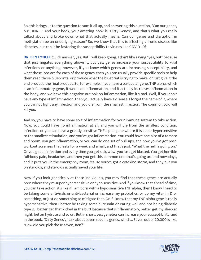So, this brings us to the question to sum it all up, and answering this question, "Can our genes, our DNA... " And your book, your amazing book is "Dirty Genes", and that's what you really talked about and broke down what that actually means. Can our genes and disruption in methylation be an underlying reason? So, we know that this is affecting chronic disease like diabetes, but can it be fostering the susceptibility to viruses like COVID-19?

**DR. BEN LYNCH:** Quick answer, yes. But I will keep going. I don't like saying "yes, but" because that just negates everything above it, but yes, genes increase your susceptibility to viral infections or anything; however, if you know which genes are increasing susceptibility, and what those jobs are for each of those genes, then you can usually provide specific tools to help them read those blueprints, or produce what the blueprint is trying to make, or just give it the end product, the final product. So, for example, if you have a particular gene, TNF alpha, which is an inflammatory gene, it works on inflammation, and it actually increases inflammation in the body, and we have this negative outlook on inflammation, like it's bad. Well, if you don't have any type of inflammation, then you actually have a disease, I forget the name of it, where you cannot fight any infection and you die from the smallest infection. The common cold will kill you.

And so, you have to have some sort of inflammation for your immune system to take action. Now, you could have no inflammation at all, and you will die from the smallest condition, infection, or you can have a greatly sensitive TNF alpha gene where it is super hypersensitive to the smallest stimulation, and you've got inflammation. You could have one bite of a tomato and boom, you got inflammation, or you can do one set of pull-ups, and now you've got postworkout soreness that lasts for a week and a half, and that's just, "What the hell is going on." Or you get an infection and every time you get sick, wow, you just get blasted. You get horrible full-body pain, headaches, and then you get this common one that's going around nowadays, and it puts you in the emergency room, 'cause you've got a cytokine storm, and they put you on steroids, and steroids actually saved your life.

Now if you look genetically at these individuals, you may find that these genes are actually born where they're super hypersensitive or hypo sensitive. And if you know that ahead of time, you can take action, it's like if I am born with a hypo-sensitive TNF alpha, then I know I need to be taking some antivirals or anti-bacterial or increase my probiotics, or up my vitamin D or something, or just do something to mitigate that. Or if I know that my TNF alpha gene is really hypersensitive, then I better be taking some curcumin or eating well and not being diabetic type 2, I better get that kicked in the butt because that's inflammatory, better get my sleep at night, better hydrate and so on. But in short, yes, genetics can increase your susceptibility, and in the book, "Dirty Genes", I talk about seven specific genes, which... Seven out of 20,000 is like, "How did you pick those seven, Ben?"

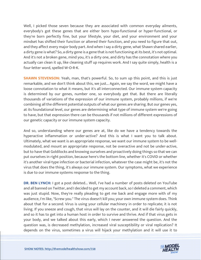Well, I picked those seven because they are associated with common everyday ailments, everybody's got these genes that are either born hypo-functional or hyper-functional, or they're born perfectly fine, but your lifestyle, your diet, and your environment and your mindset has shifted their function or altered their function, and you need to figure that out, and they affect every major body part. And when I say a dirty gene, what Shawn shared earlier, a dirty gene is what? So, a dirty gene is a gene that is not functioning at its best, it's not optimal. And it's not a broken gene, mind you, it's a dirty one, and dirty has the connotation where you actually can clean it up, like cleaning stuff up requires work. And I say quite simply, health is a four-letter word, spelled W-O-R-K.

**SHAWN STEVENSON:** Yeah, man, that's powerful. So, to sum up this point, and this is just remarkable, and we don't think about this, we just... Again, we say the word, we might have a loose connotation to what it means, but it's all interconnected. Our immune system capacity is determined by our genes, number one, so everybody get that. But there are literally thousands of variations of the expression of our immune system, probably millions, if we're combining all the different potential outputs of what our genes are sharing. But our genes yes, at its foundational level, our genes are determining what type of immune system we're going to have, but that expression there can be thousands if not millions of different expressions of our genetic capacity or our immune system capacity.

And so, understanding where our genes are at, like do we have a tendency towards the hyperactive inflammation or under-active? And this is what I want you to talk about. Ultimately, what we want is an appropriate response, we want our immune system to be wellmodulated, and mount an appropriate response, not be overactive and not be under-active, but to have that Goldilocks and knowing ourselves and proactively doing things so that we can put ourselves in right position, because here's the bottom line, whether it's COVID or whether it's another viral-type infection or bacterial infection, whatever the case might be, it's not the virus that does the thing, it's always our immune system. Our symptoms, what we experience is due to our immune systems response to the thing.

**DR. BEN LYNCH:** I got a post deleted... Well, I've had a number of posts deleted on YouTube and all banned on Twitter, and I decided to get my account back, so I deleted a comment, which was just stupid. Now, they're really pleading to get me back and engage more with of my audience, I'm like, "Screw you." The virus doesn't kill you; your own immune system does. Think about that for a second. Virus is using your cellular machinery in order to replicate; it is not living. If you sneeze and cough, that virus will lay on the counter, and it will die fairly quickly, and so it has to get into a human host in order to survive and thrive. And if that virus gets in your body, and we talked about this early, which I never answered the question. And the question was, is decreased methylation, increased viral susceptibility or viral replication? It [depends on the virus, sometimes a virus will hijack your methylation and it will use it to](https://themodelhealthshow.com/dr-ben-lynch/)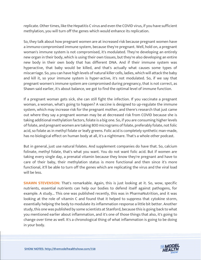replicate. Other times, like the Hepatitis C virus and even the COVID virus, if you have sufficient methylation, you will turn off the genes which would enhance its replication.

So, they talk about how pregnant women are at increased risk because pregnant women have a immuno-compromised immune system, because they're pregnant. Well, hold on, a pregnant woman's immune system is not compromised, it's modulated. They're developing an entirely new organ in their body, which is using their own tissues, but they're also developing an entire new body in their own body that has different DNA. And if their immune system was hyperactive, that baby would be killed, and that's actually what causes some types of miscarriage. So, you can have high levels of natural killer cells, ladies, which will attack the baby and kill it, so your immune system is hyper-active, it's not modulated. So, if we say that pregnant women's immune system are compromised during pregnancy, that is not correct, as Shawn said earlier, it's about balance, we got to find the optimal level of immune function.

If a pregnant woman gets sick, she can still fight the infection. If you vaccinate a pregnant woman, a woman, what's going to happen? A vaccine is designed to up-regulate the immune system, which may increase risk for the pregnant mother, and there's research that just came out where they say a pregnant woman may be at decreased risk from COVID because she is taking additional methylation factors, folate is a big one. So, if you are consuming higher levels of folate, and pregnant women are taking 800 micrograms of folate, preferably folate, not folic acid, so folate as in methyl folate or leafy greens. Folic acid is completely synthetic man-made, has no biological effect on human body at all, it's a nightmare. That's a whole other podcast.

But in general, just use natural folates. And supplement companies do have that. So, calcium folinate, methyl folate, that's what you want. You do not want folic acid. But if women are taking every single day, a prenatal vitamin because they know they're pregnant and have to care of their baby, their methylation status is more functional and then since it's more functional, it'll be able to turn off the genes which are replicating the virus and the viral load will be less.

**SHAWN STEVENSON:** That's remarkable. Again, this is just looking at it. So, wow, specific nutrients, essential nutrients can help our bodies to defend itself against pathogens, for example. A study... This one was published recently, this was in PharmaNutrition, and it was looking at the role of vitamin C and found that it helped to suppress that cytokine storm, essentially helping the body to modulate its inflammation response a little bit better. Another study, this one was published by some scientists at Stanford, because this is going back to what you mentioned earlier about inflammation, and it's one of those things that also, it's going to change over time as well. It's a chronological thing of what inflammation is going to be doing in your body.

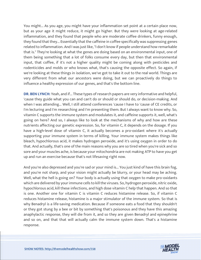You might... As you age, you might have your inflammation set point at a certain place now, but as your age it might reduce, it might go higher. But they were looking at age-related inflammation, and they found that people who are moderate coffee drinkers, funny enough, they found that they... Essentially that the caffeine in coffee specifically was suppressing genes related to inflammation. And I was just like, "I don't know if people understand how remarkable that is." They're looking at what the genes are doing based on an environmental input, one of them being something that a lot of folks consume every day, but then that environmental input, that coffee, if it's not a higher quality might be coming along with pesticides and rodenticides and molds or who knows what, that's causing the opposite effect. So again, if we're looking at these things in isolation, we've got to take it out to the real world. Things are very different from what our ancestors were doing, but we can proactively do things to influence a healthy expression of our genes, and that's the bottom line.

**DR. BEN LYNCH:** Yeah, and if... These types of research papers are very informative and helpful, 'cause they guide what you can and can't do or should or should do, or decision-making. And when I was attending... Well, I still attend conferences 'cause I have to 'cause of CE credits, or I'm lecturing and I'm researching and I'm presenting them. But I always want to know why. So, vitamin C supports the immune system and modulates it, and caffeine supports it, well, what's going on here? And so, I always like to look at the mechanisms of why and how are these nutrients affecting our genetic expression. So, for vitamin C, it depends on the dosage. If you have a high-level dose of vitamin C, it actually becomes a pro-oxidant where it's actually supporting your immune system in terms of killing. Your immune system makes things like bleach, hypochlorous acid, it makes hydrogen peroxide, and it's using oxygen in order to do that. And actually, that's one of the main reasons why you are so tired when you're sick and so sore and your muscles ache, is because your mitochondria are not making ATP to have you get up and run an exercise because that's not lifesaving right now.

And you're also depressed and you're sad or your mind is... You just kind of have this brain fog, and you're not sharp, and your vision might actually be blurry, or your head may be aching. Well, what the hell is going on? Your body is actually using that oxygen to make pro-oxidants which are delivered by your immune cells to kill the viruses. So, hydrogen peroxide, nitric oxide, hypochlorous acid, kill these infections, and high dose vitamin C help that happen. And so that is one. Another one for vitamin C is vitamin C reduces histamine release. So, if vitamin C reduces histamine release, histamine is a major stimulator of the immune system. So that is why Benadryl is a life-saving medication. Because if someone eats a food that they shouldn't or they got stung by a bee or bit by something that's poisonous and they have this amazing anaphylactic response, they will die from it, and so they are given Benadryl and epinephrine and so on, and that that will actually calm the immune system down. That's a histamine response.

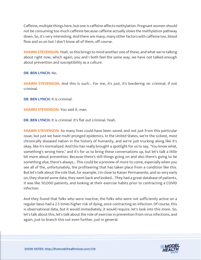Caffeine, multiple things here, but one is caffeine affects methylation. Pregnant women should not be consuming too much caffeine because caffeine actually slows the methylation pathway down. So, it's very interesting. And there are many, many other factors with caffeine too, blood flow and so on but I don't know all of them, off course.

**SHAWN STEVENSON:** Yeah, so this brings to mind another one of these, and what we're talking about right now, which again, you and I both feel the same way, we have not talked enough about prevention and susceptibility as a culture.

#### **DR. BEN LYNCH:** No.

**SHAWN STEVENSON:** And this is such... For me, it's just, it's bordering on criminal, if not criminal.

**DR. BEN LYNCH:** It is criminal.

**SHAWN STEVENSON:** You said it, man.

**DR. BEN LYNCH:** It is criminal. It's flat out criminal. Yeah.

**SHAWN STEVENSON:** So many lives could have been saved, and not just from this particular issue, but just we have multi-pronged epidemics. In the United States, we're the sickest, most chronically diseased nation in the history of humanity, and we're just trucking along like it's okay, like it's normalized. And this has really brought a spotlight for us to say, "You know what, something's wrong here," and it's for us to bring these conversations up, but let's talk a little bit more about prevention. Because there's still things going on and also there's going to be something else, there's always... This could be a preview of more to come, especially when you see all of the, unfortunately, the profiteering that has taken place from a condition like this. But let's talk about the role that, for example, I'm close to Kaiser Permanente, and so very early on, they shared some data, they went back and looked... They had a great database of patients, it was like 50,000 patients, and looking at their exercise habits prior to contracting a COVID infection.

And they found that folks who were inactive, the folks who were not sufficiently active on a regular basis had a 2.5 times higher risk of dying, once contracting an infection. Of course, this is observational data, but it would immediately, it would require, let's look into this more. So, let's talk about this, let's talk about the role of exercise in prevention from virus infections, and again, just to branch this out even further, just in general.

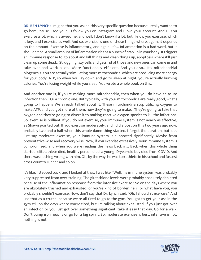**DR. BEN LYNCH:** I'm glad that you asked this very specific question because I really wanted to go here, 'cause I see your... I follow you on Instagram and I love your account. And I... You exercise a lot, which is awesome, and well, I don't know if a lot, but I know you exercise, which is key, and I exercise as well. And so, exercise is one of those things where, again, it depends on the amount. Exercise is inflammatory, and again, it's... Inflammation is a bad word, but it shouldn't be. A small amount of inflammation cleans a bunch of crap up in your body. It triggers an immune response to go about and kill things and clean things up, apoptosis where it'll just clean up some dead... Struggling lazy cells and gets rid of those and new ones can come in and take over and work a lot... More functionally efficient. And you also... It's mitochondrial biogenesis. You are actually stimulating more mitochondria, which are producing more energy for your body, ATP, so when you lay down and go to sleep at night, you're actually burning calories. You're losing weight while you sleep. You wrote a whole book on this.

And another one is, if you're making more mitochondria, then when you do have an acute infection then... Or a chronic one. But typically, with your mitochondria are really good, what's going to happen? We already talked about it. These mitochondria stop utilizing oxygen to make ATP, and you got more of them, now they're going to make... They're going to take that oxygen and they're going to divert it to making reactive oxygen species to kill the infections. So, exercise is brilliant. If you do not exercise, your immune system is not nearly as effective, as Shawn pointed out. If you exercise moderately, and I did a post on this two years ago now, probably two and a half when this whole damn thing started. I forget the duration, but let's just say moderate exercise, your immune system is supported significantly. Maybe from preventative-wise and recovery-wise. Now, if you exercise excessively, your immune system is compromised, and when you were reading the news back in... Back when this whole thing started, elite athlete died, healthy person died, a young 19-year-old boy died from COVID. And there was nothing wrong with him. Oh, by the way, he was top athlete in his school and fastest cross-country runner and so on.

It's like, I stepped back, and I looked at that. I was like, "Well, his immune system was probably very suppressed from over-training. The glutathione levels were probably absolutely depleted because of the inflammation response from the intensive exercise." So on the days where you are absolutely trashed and exhausted, or you're kind of borderline ill or what have you, you probably shouldn't exercise. Now, don't say that Dr. Lynch said, "Oh, I shouldn't exercise." And use that as a crutch, because we're all tired to go to the gym. You got to get your ass in the gym still on the days where you're tired, but I'm talking about exhausted. If you just got over an infection or you just got over something significant, take it easy that day. Go for a walk. Don't pump iron heavily or go for a big sprint. So, moderate exercise is best, intensive is not, nothing is not.

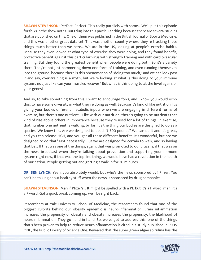**SHAWN STEVENSON:** Perfect. Perfect. This really parallels with some... We'll put this episode for folks in the show notes. But I dug into this particular thing because there are several studies that are published on this. One of them was published in the British Journal of Sports Medicine, and this was another great data set. This was another country where they're tracking these things much better than we here... We are in the US, looking at people's exercise habits. Because they even looked at what type of exercise they were doing, and they found benefit, protective benefit against this particular virus with strength training and with cardiovascular training. But they found the greatest benefit when people were doing both. So it's a variety there. They're not just hammering down one form of training, and even running themselves into the ground, because there is this phenomenon of "doing too much," and we can look past it and say, over-training is a myth, but we're looking at what is this doing to your immune system, not just like can your muscles recover? But what is this doing to at the level again, of your genes?

And so, to take something from this, I want to encourage folks, and I know you would echo this, to have some diversity in what they're doing as well. Because it's kind of like nutrition. It's giving your bodies different metabolic inputs when we are engaging in different forms of exercise, but there's one nutrient... Like with our nutrition, there's going to be nutrients that kind of rise above others in importance because they're used for a lot of things. In exercise, that number one nutrient is walking, by far. It's the thing our bodies are designed to do as a species. We know this. Are we designed to deadlift 500 pounds? We can do it and it's great, and you can release HGH, and you get all these different benefits. It's wonderful, but are we designed to do that? Not necessarily. But we are designed for certain to walk, and so having that be... If that was one of the things, again, that was promoted to our citizens, if that was on the news broadcast when they're talking about prevention and supporting your immune system right now, if that was the top line thing, we would have had a revolution in the health of our nation. People getting out and getting a walk in for 20 minutes.

**DR. BEN LYNCH:** Yeah, you absolutely would, but who's the news sponsored by? Pfizer. You can't be talking about healthy stuff when the news is sponsored by drug companies.

**SHAWN STEVENSON:** Man if Pfizer's... It might be spelled with a Pf, but it's a F word, man, it's a F word. Got a quick break coming up, we'll be right back.

Researchers at Yale University School of Medicine, the researchers found that one of the biggest culprits behind our obesity epidemic is neuro-inflammation. Brain inflammation increases the propensity of obesity and obesity increases the propensity, the likelihood of neuroinflammation. They go hand in hand. So, we've got to address this, one of the things that's been proven to help to reduce neuroinflammation is cited in a study published in PLOS [ONE, the Public Library of Science One. Revealed that the super green algae spirulina has the](https://themodelhealthshow.com/dr-ben-lynch/) 

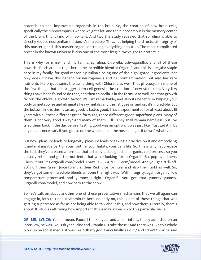potential to one, improve neurogenesis in the brain. So, the creation of new brain cells, specifically the hippocampus is where we get a lot, and the hippocampus is the memory center of the brain, this is kind of important. And two the study revealed that spirulina is able to directly reduce neuroinflammation, it's incredible. This... It's helping the structural integrity of this master gland, this master organ controlling everything about us. The most complicated object in the known universe is also one of the most fragile, we've got to protect it.

This is why for myself and my family, spirulina, Chlorella, ashwagandha, and all of these powerful foods are put together in the incredible blend at Organifi, and this is a regular staple here in my family, for good reason. Spirulina s being one of the highlighted ingredients, not only does it have this benefit for neurogenesis and neuroinflammation, but also has rare nutrients like phycocyanin, the same thing with Chlorella as well. That phycocyanin is one of the few things that can trigger stem cell genesis, the creation of new stem cells. Very few things have been found to do that, and then chlorella is in the formula as well, and that growth factor, the chlorella growth factor, it's just remarkable, and also its benefits in helping your body to metabolize and eliminate heavy metals, and the list goes on and on, it's incredible. But the bottom line is this, it tastes good. It tastes good. I have experimented for at least about 15 years with all these different green formulas, these different green superfood plans. Many of them is not very good. Okay? And many of them... I'll... They shall remain nameless, but I've tried them back in the day before, tasting good was an option, it was just like, "Just get it in by any means necessary if you got to do the whole pinch the nose and get it down," whatever.

But now, pleasure leads to longevity, pleasure leads to taking a practice on it and embodying it and making it a part of your routine, your habits, your daily life. So, this is why I appreciate the fact they've created a formula that actually tastes good, all organic, cold process, so you actually retain and get the nutrients that we're looking for in Organifi. So, pop over there. Check it out, it's organifi.com/model. That's O-R-G-A-N-I-F-I.com/model. And you get 20% off, 20% off their Green Juice formula, their Red Juice formula, and also their Gold as well. So, they've got some incredible blends all done the right way. With integrity, again organic, low temperature processed and yummy alright, Organifi, you got that yummy yummy. Organifi.com/model, and now back to the show.

So, let's talk on about another one of these preventative mechanisms that we all again can engage in, let's talk about vitamin D. Because early on, this is one of those things that was getting suppressed as far as not being able to talk about this, and now there's literally, there's about 30 studies affirming how important this is in relationship to this particular virus.

**DR. BEN LYNCH:** Yeah. I mean, Fauci, I think a year and a half into it, finally admitted on an interview, he was like, "Oh yeah, Zinc and vitamin D, I take those." And there was like this whole [blow-up on social media, it was like, "Oh my god, Fauci finally said it," and I don](https://themodelhealthshow.com/dr-ben-lynch/)'[t think he said](https://themodelhealthshow.com/dr-ben-lynch/)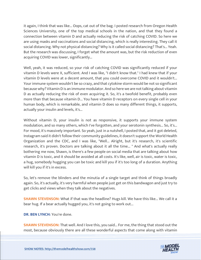it again, I think that was like... Oops, cat out of the bag. I posted research from Oregon Health Sciences University, one of the top medical schools in the nation, and that they found a connection between vitamin D and actually reducing the risk of catching COVID. So here we are using masks and vaccinations and social distancing, which is really interesting. They call it social distancing. Why not physical distancing? Why is it called social distancing? That's... Yeah. But the research was discussing, I forget what the amount was, but the risk reduction of even acquiring COVID was lower, significantly...

Well, yeah, it was reduced, so your risk of catching COVID was significantly reduced if your vitamin D levels were X, sufficient. And I was like, "I didn't know that." I had knew that if your vitamin D levels were at a decent amount, that you could overcome COVID and it wouldn't... Your immune system wouldn't be so crazy, and that cytokine storm would be not so significant because why? Vitamin D is an immune modulator. And so here we are not talking about vitamin D as actually reducing the risk of even acquiring it. So, it's a twofold benefit, probably even more than that because vitamin D... You have vitamin D receptors on every single cell in your human body, which is remarkable, and vitamin D does so many different things, it supports, actually your insulin and levels, it's...

Without vitamin D, your insulin is not as responsive, it supports your immune system modulation, and so many others, which I've forgotten, and your serotonin synthesis... So, it's... For mood, it's massively important. So yeah, just in a nutshell, I posted that, and it got deleted, Instagram said it didn't follow their community guidelines, it doesn't support the World Health Organization and the CDC, and I was like, "Well... Alright, but it's research, it's scientific research, it's proven. Doctors are talking about it all the time... " And what's actually really bothering me now, Shawn, is there's a few people on social media that are talking about how vitamin D is toxic, and it should be avoided at all costs. It's like, well, air is toxic, water is toxic, a hug, somebody hugging you can be toxic and kill you if it's too long of a duration. Anything will kill you if it's in excess.

So, let's remove the blinders and the minutia of a single target and think of things broadly again. So, it's actually, it's very harmful when people just get on this bandwagon and just try to get clicks and views when they talk about the negatives.

**SHAWN STEVENSON:** What if that was the headline? Hugs kill. We have this like... We call it a bear hug. If a bear actually hugged you, it's not going to work out...

**DR. BEN LYNCH:** You're done.

**SHAWN STEVENSON:** That well. And I love this, you said... For me, the thing that stood out the [most, because obviously there are all these wonderful aspects that come along with vitamin](https://themodelhealthshow.com/dr-ben-lynch/)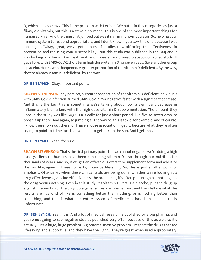D, which... It's so crazy. This is the problem with Lexicon. We put it in this categories as just a flimsy old vitamin, but this is a steroid hormone. This is one of the most important things for human survival. And the thing that jumped out was it's an immuno-modulator. So, helping your immune system to respond appropriately, and I don't know if you saw this one because I was looking at, "Okay, great, we've got dozens of studies now affirming the effectiveness in prevention and reducing your susceptibility," but this study was published in the BMJ and it was looking at vitamin D in treatment, and it was a randomized placebo-controlled study. It gave folks with SARS-CoV-2 short term high dose vitamin D for seven days. Gave another group a placebo. Here's what happened. A greater proportion of the vitamin D deficient... By the way, they're already vitamin D deficient, by the way.

#### **DR. BEN LYNCH:** Okay, important point.

**SHAWN STEVENSON:** Key part. So, a greater proportion of the vitamin D deficient individuals with SARS-CoV-2 infection, turned SARS-CoV-2 RNA negative faster with a significant decrease. And this is the key, this is something we're talking about now, a significant decrease in inflammatory biomarkers with the high dose vitamin D supplementation. The amount they used in the study was like 60,000 IUs daily for just a short period, like five to seven days, to boost it up there. And again, so jumping all the way to, this is toxic, for example, and of course, I know these folks out there, or I have a loose association. I get it, because what they're often trying to point to is the fact that we need to get it from the sun. And I get that.

#### **DR. BEN LYNCH:** Yeah, for sure.

**SHAWN STEVENSON:** That's the first primary point, but we cannot negate if we're doing a high quality... Because humans have been consuming vitamin D also through our nutrition for thousands of years. And so, if we get an efficacious extract or supplement form and add it to the mix like, again in these contexts, it can be lifesaving. So, this is just another point of emphasis. Oftentimes when these clinical trials are being done, whether we're looking at a drug effectiveness, vaccine effectiveness, the problem is, it's often put up against nothing. It's the drug versus nothing. Even in this study, it's vitamin D versus a placebo, put the drug up against vitamin D. Put the drug up against a lifestyle intervention, and then tell me what the results are. It's kind of like is something better than nothing, or is nothing better than something, and that is what our entire system of medicine is based on, and it's really unfortunate.

**DR. BEN LYNCH:** Yeah, it is. And a lot of medical research is published by a big pharma, and you're not going to see negative studies published very often because of this as well, so it's actually... It's a huge, huge problem. Big pharma, massive problem. I respect the drugs that are [life-saving and supportive, and they have the right... They](https://themodelhealthshow.com/dr-ben-lynch/)'[re great when used appropriately.](https://themodelhealthshow.com/dr-ben-lynch/)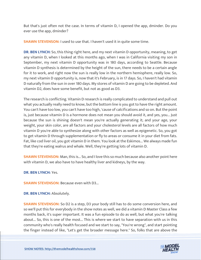But that's just often not the case. In terms of vitamin D, I opened the app, dminder. Do you ever use the app, dminder?

**SHAWN STEVENSON: I** used to use that. I haven't used it in quite some time.

**DR. BEN LYNCH:** So, this thing right here, and my next vitamin D opportunity, meaning, to get any vitamin D, when I looked at this months ago, when I was in California visiting my son in September, my next vitamin D opportunity was in 180 days, according to Seattle. Because vitamin D synthesis is determined by the height of the sun, there needs to be a certain angle for it to work, and right now the sun is really low in the northern hemisphere, really low. So, my next vitamin D opportunity is, now that it's February, is in 17 days. So, I haven't had vitamin D naturally from the sun in over 180 days. My stores of vitamin D are going to be depleted. And vitamin D2, does have some benefit, but not as good as D3.

The research is conflicting. Vitamin D research is really complicated to understand and pull out what you actually really need to know, but the bottom line is you got to have the right amount. You can't have too low, you can't have too high, 'cause of calcifications and so on. But the point is, just because vitamin D is a hormone does not mean you should avoid it, and yes, you... Just because the sun is shining doesn't mean you're actually generating it; and your age, your weight, your skin color, are all factors and your cholesterol levels are all factors of how much vitamin D you're able to synthesize along with other factors as well as epigenetic. So, you got to get vitamin D through supplementation or fly to areas or consume it in your diet from fats. Fat, like cod liver oil, you got vitamin D in them. You look at the Eskimos... We always made fun that they're eating walrus and whale. Well, they're getting lots of vitamin D.

**SHAWN STEVENSON:** Man, this is... So, and I love this so much because also another point here with vitamin D, we also have to have healthy liver and kidneys, by the way.

**DR. BEN LYNCH:** Yes.

**SHAWN STEVENSON: Because even with D3...** 

**DR. BEN LYNCH:** Absolutely.

**SHAWN STEVENSON:** So D2 is a step, D3 your body still has to do some conversion here, and so we'll put this for everybody in the show notes as well, we did a vitamin D Master Class a few months back, it's super important. It was a fun episode to do as well, but what you're talking about... So, this is one of the most... This is where we start to have separation with us in this community who's really health focused and we start to say, "You're wrong", and start pointing [the finger instead of like, "Let](https://themodelhealthshow.com/dr-ben-lynch/)'[s get the broader message here." So, folks that are above the](https://themodelhealthshow.com/dr-ben-lynch/)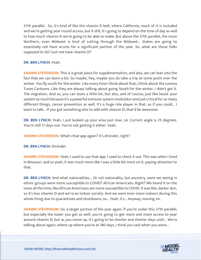37th parallel... So, it's kind of like the vitamin D belt, where California, much of it is included and we're getting year-round access, but it still, it's going to depend on the time of day as well to how much vitamin D we're going to be able to make. But above the 37th parallel, the more Northern, even Midwest is kind of cutting through the Midwest... States are going to essentially not have access for a significant portion of the year. So, what are these folks supposed to do? Just not have vitamin D?

**DR. BEN LYNCH:** Yeah.

**SHAWN STEVENSON:** This is a great place for supplementation, and also, we can lean into the fact that we can store a bit. So maybe, hey, maybe you do take a trip at some point over the winter. You fly south for the winter. Like every time I think about that, I think about the Looney Tunes Cartoons. Like they are always talking about going South for the winter, I didn't get it. The migration. And so, you can store a little bit, but also, and of course, just like boost your system so much because it's a powerful immune system modulator and just critical for so many different things, cancer prevention as well. It's a huge role player in that, so if you could... I want to talk... If you got something else to add with vitamin D, that'd be awesome.

**DR. BEN LYNCH:** Yeah, I just looked up your area just now, LA. Current angle is 25 degrees. You're still 17 days out. You're not getting it either. Yeah.

**SHAWN STEVENSON:** What's that app again? It's dminder, right?

**DR. BEN LYNCH:** Dminder.

**SHAWN STEVENSON:** Yeah, I used to use that app, I used to check it out. This was when I lived in Missouri, and so yeah, it was much more like I was a little bit more on it, paying attention to that.

**DR. BEN LYNCH:** And what nationalities... Or not nationality, but ancestry, were we seeing in ethnic groups were more susceptible to COVID? African Americans. Right? We heard it on the news all the time, like African Americans are more susceptible to COVID. It was like, darker skin, so it's less vitamin D and we're an indoor society. And we were even more indoors during this whole thing due to quarantines and shutdowns, so... Yeah, it's... Anyway, moving on.

**SHAWN STEVENSON:** So, a larger portion of the year again, if you're under this 37th parallel, but especially the lower you get as well, you're going to get more and more access to year around vitamin D, but as you move up, it's going to be shorter and shorter days until... We're talking about again, where up where you're at 180 days, I think you said when you were...

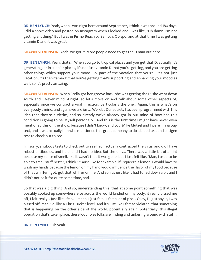**DR. BEN LYNCH:** Yeah, when I was right here around September, I think it was around 180 days. I did a short video and posted on Instagram when I looked and I was like, "Oh damn, I'm not getting anything." But I was in Pismo Beach by San Luis Obispo, and at that time I was getting vitamin D and it was great.

**SHAWN STEVENSON:** Yeah, we got it. More people need to get the D man out here.

**DR. BEN LYNCH:** Yeah, that's... When you go to tropical places and you get that D, actually it's generating, or in sunnier places, it's not just vitamin D that you're getting, and you are getting other things which support your mood. So, part of the vacation that you're... It's not just vacation, it's the vitamin D that you're getting that's supporting and enhancing your mood as well, so it's pretty amazing.

**SHAWN STEVENSON:** When Stella got her groove back, she was getting the D, she went down south and... Never mind. Alright, so let's move on and talk about some other aspects of, especially once we contract a viral infection, particularly the one... Again, this is what's on everybody's mind, and again, we are just... We let... Our society has been programmed with this idea that they're a victim, and so already we've already got in our mind of how bad this condition is going to be. Myself personally... And this is the first time I might have never even mentioned this on the show, because I didn't know, and you, Mike Mutzel and I were in a group text, and it was actually him who mentioned this great company to do a blood test and antigen test to check out to see...

I'm sorry, antibody tests to check out to see had I actually contracted the virus, and did I have robust antibodies, and I did, and I had no idea. But the only... There was a little bit of a hint because my sense of smell, like it wasn't that it was gone, but I just felt like, "Man, I used to be able to smell stuff better, I think." 'Cause like for example, if I squeeze a lemon, I would have to wash my hands because the lemon on my hand would influence the flavor of my food because of that whiffer I got, got that whiffer on me. And so, it's just like it had toned down a bit and I didn't notice it for quite some time, and...

So that was a big thing. And so, understanding this, that at some point something that was possibly cooked up somewhere else across the world landed on my body, it really pissed me off, I felt really... Just like I felt... I mean, I just felt... I felt a lot of piss... Okay, I'll just say it, I was pissed off, man. So, like a Chris Tucker level. And it's just like I felt so violated, that something that is happening on the other side of the world, potentially again, potentially, this illegal operation that's taken place, these loopholes folks are finding and tinkering around with stuff...

**DR. BEN LYNCH:** Oh yeah.

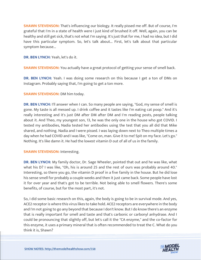**SHAWN STEVENSON:** That's influencing our biology. It really pissed me off. But of course, I'm grateful that I'm in a state of health were I just kind of brushed it off. Well, again, you can be healthy and still get sick, that's not what I'm saying. It's just that for me, I had no idea, but I did have this particular symptom. So, let's talk about... First, let's talk about that particular symptom because...

**DR. BEN LYNCH:** Yeah, let's do it.

**SHAWN STEVENSON:** You actually have a great protocol of getting your sense of smell back.

**DR. BEN LYNCH:** Yeah. I was doing some research on this because I get a ton of DMs on Instagram. Probably saying that, I'm going to get a ton more.

**SHAWN STEVENSON: DM him today.** 

**DR. BEN LYNCH:** I'll answer when I can. So many people are saying, "God, my sense of smell is gone. My taste is all messed up. I drink coffee and it tastes like I'm eating cat poop." And it's really interesting and it's just DM after DM after DM and I'm reading posts, people talking about it. And Theo, my youngest son, 13, he was the only one in the house who got COVID. I tested my antibodies, Nadia tested her antibodies using the test that you all did that Mike shared, and nothing. Nadia and I were pissed. I was laying down next to Theo multiple times a day when he had COVID and I was like, "Come on, man. Give it to me! Spit on my face. Let's go." Nothing. It's like damn it. He had the lowest vitamin D out of all of us in the family.

#### **SHAWN STEVENSON: Interesting.**

**DR. BEN LYNCH:** My family doctor, Dr. Sage Wheeler, pointed that out and he was like, what what his D? I was like, "Oh, his is around 25 and the rest of ours was probably around 40." Interesting, so there you go, the vitamin D proof in a five family in the house. But he did lose his sense smell for probably a couple weeks and then it just came back. Some people have lost it for over year and that's got to be terrible. Not being able to smell flowers. There's some benefits, of course, but for the most part, it's not.

So, I did some basic research on this, again, the body is going to be in survival mode. And yes, ACE2 receptor is where this virus likes to take hold. ACE2 receptors are everywhere in the body and I'm not going to go any beyond that because I don't know. But I do know there's an enzyme that is really important for smell and taste and that's carbonic or carbonyl anhydrase. And I could be pronouncing that slightly off, but let's call it the "CA enzyme," and the co-factor for this enzyme, it uses a primary mineral that is often recommended to treat the C. What do you [think it is, Shawn?](https://themodelhealthshow.com/dr-ben-lynch/)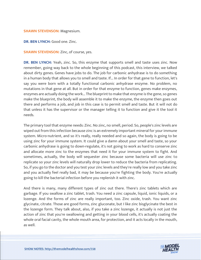#### **SHAWN STEVENSON: Magnesium.**

**DR. BEN LYNCH:** Good one. Zinc.

**SHAWN STEVENSON:** Zinc, of course, yes.

**DR. BEN LYNCH:** Yeah, zinc. So, this enzyme that supports smell and taste uses zinc. Now remember, going way back to the whole beginning of this podcast, this interview, we talked about dirty genes. Genes have jobs to do. The job for carbonic anhydrase is to do something in a human body that allows you to smell and taste. If... In order for that gene to function, let's say you were born with a totally functional carbonic anhydrase enzyme. No problem, no mutations in that gene at all. But in order for that enzyme to function, genes make enzymes, enzymes are actually doing the work... The blueprint to make that enzyme is the gene, so genes make the blueprint, the body will assemble it to make the enzyme, the enzyme then goes out there and performs a job, and job in this case is to permit smell and taste. But it will not do that unless it has the supervisor or the manager telling it to function and give it the tool it needs.

The primary tool that enzyme needs: Zinc. No zinc, no smell, period. So, people's zinc levels are wiped out from this infection because zinc is an extremely important mineral for your immune system. Micro-nutrient, and so it's really, really needed and so again, the body is going to be using zinc for your immune system. It could give a damn about your smell and taste, so your carbonic anhydrase is going to down-regulate, it's not going to work as hard to conserve zinc and allocate more zinc to the enzymes that need it for your immune system to fight. And sometimes, actually, the body will sequester zinc because some bacteria will use zinc to replicate so your zinc levels will naturally drop lower to reduce the bacteria from replicating. So, if you go to the doctor and you test your zinc levels and they're really low and you take zinc and you actually feel really bad, it may be because you're fighting the body. You're actually going to kill the bacterial infection before you replenish it with zinc.

And there is many, many different types of zinc out there. There's zinc tablets which are garbage. If you swallow a zinc tablet, trash. You need a zinc capsule, liquid, ionic liquids, or a lozenge. And the forms of zinc are really important, too. Zinc oxide, trash. You want zinc glycinate, citrate. Those are good forms, zinc gluconate, but I like zinc bisglycinate the best in the lozenge form. They talk about, also, if you take a zinc lozenge, it actually is not just the action of zinc that you're swallowing and getting in your blood cells, it's actually coating the whole oral facial cavity, the whole mouth area, for protection, and it acts locally in the mouth, as well.

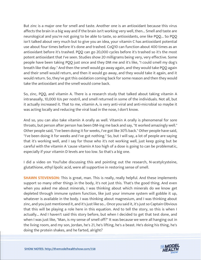But zinc is a major one for smell and taste. Another one is an antioxidant because this virus affects the brain in a big way and if the brain isn't working very well, then... Smell and taste are neurological and you're not going to be able to taste, so antioxidants, one like PQQ... So PQQ isn't talked about very much but to give you an idea, your vitamin C has antioxidant potential use about four times before it's done and trashed. CoQ10 can function about 400 times as an antioxidant before it's trashed. PQQ can go 20,000 cycles before it's trashed so it's the most potent antioxidant that I've seen. Studies show 20 milligrams being very, very effective. Some people have been taking PQQ just once and they DM me and it's like, "I could smell my dog's breath like that day." And then the smell would go away again, and they would take PQQ again and their smell would return, and then it would go away, and they would take it again, and it would return. So, they've got this oxidation coming back for some reason and then they would take the antioxidant and the smell would come back.

So, zinc, PQQ, and vitamin A. There is a research study that talked about taking vitamin A intranasally, 10,000 IUs per nostril, and smell returned in some of the individuals. Not all, but it actually increased it. That to me, vitamin A, is very anti-viral and anti-microbial so maybe it was acting locally and reducing the viral load in the nose, I don't know.

And so, you can also take vitamin A orally as well. Vitamin A orally is phenomenal for sore throats, but person after person has been DM-ing me back and say, "It worked amazingly well." Other people said, "I've been doing it for weeks, I've got like 30% back." Other people have said, "I've been doing it for weeks and I've got nothing." So, but I will say, a lot of people are saying that it's working well, and I say for those who it's not working well, just keep going but be careful with the vitamin A 'cause vitamin A too high of a dose is going to can be problematic, especially if your vitamin D levels are too low. So that's a big one.

I did a video on YouTube discussing this and pointing out the research, N-acetylcysteine, glutathione, ethyl lipolic acid, were all supportive in restoring sense of smell.

**SHAWN STEVENSON:** This is great, man. This is really, really helpful. And these implements support so many other things in the body, it's not just this. That's the good thing. And even when you asked me about minerals, I was thinking about which minerals do we know get depleted through immune system function, like just your immune system will gobble it up, whatever is available in the body. I was thinking about magnesium, and I was thinking about zinc, and you just mentioned it, and it's just like so... Once you said it, it's just so Captain Obvious that this will be playing a role here in this equation. And to tell the story, so this is when I actually... And I haven't said this story before, but when I decided to get that test done, and when I was just like, "Man, is my sense of smell off?" It was because we were all hanging out in the living room, and my son, Jordan, he's 21, he's lifting, he's a beast. He's doing his thing, he's [doing the protein shakes, and he farted, alright?](https://themodelhealthshow.com/dr-ben-lynch/)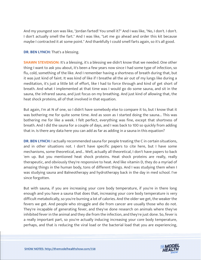And my youngest son was like, "Jordan farted! You smell it?" And I was like, "No, I don't. I don't. I don't actually smell the fart." And I was like, "Let me go ahead and order this kit because maybe I contracted it at some point." And thankfully I could smell farts again, so it's all good.

### **DR. BEN LYNCH:** That's a blessing.

**SHAWN STEVENSON:** It's a blessing, it's a blessing we didn't know that we needed. One other thing I want to ask you about, it's been a few years now since I had some type of infection, so flu, cold, something of the like. And I remember having a shortness of breath during that, but it was just kind of faint. It was kind of like if I breathe all the air out of my lungs like during a meditation, it's just a little bit of effort, like I had to force through and kind of get short of breath. And what I implemented at that time was I would go do some sauna, and sit in the sauna, the infrared sauna, and just focus on my breathing. And just kind of allowing that, the heat shock proteins, all of that involved in that equation.

But again, I'm at N of one, so I didn't have somebody else to compare it to, but I know that it was bothering me for quite some time. And as soon as I started doing the sauna... This was bothering me for like a week. I felt perfect, everything was fine, except that shortness of breath. And I did the sauna for a couple of days, and I was back to 100 so quickly from adding that in. Is there any data here you can add as far as adding in a sauna in this equation?

**DR. BEN LYNCH:** I actually recommended sauna for people treating the C in certain situations, and in other situations not. I don't have specific papers to cite here, but I have some mechanisms, some theoretical, and... Well, actually all theoretical, I don't have papers to back 'em up. But you mentioned heat shock proteins. Heat shock proteins are really, really therapeutic, and obviously they're responsive to heat. And like vitamin D, they do a myriad of amazing things in the human body, tons of different things. And I was studying them when I was studying sauna and Balneotherapy and hydrotherapy back in the day in med school. I've since forgotten.

But with sauna, if you are increasing your core body temperature, if you're in there long enough and you have a sauna that does that, increasing your core body temperature is very difficult metabolically, so you're burning a lot of calories. And the older we get, the weaker the fevers we get. And people who struggle and die from cancer are usually those who do not. They're incapable of generating fever, and they've done research on animals where they've inhibited fever in the animal and they die from the infection, and they're just done. So, fever is a really important part, so you're actually inducing increasing your core body temperature, perhaps, and that is reducing the viral load or the bacterial load that you are experiencing,

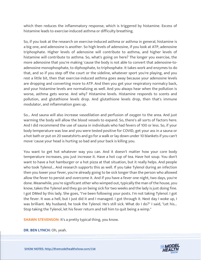which then reduces the inflammatory response, which is triggered by histamine. Excess of histamine leads to exercise-induced asthma or difficulty breathing.

So, if you look at the research on exercise-induced asthma or asthma in general, histamine is a big one, and adenosine is another. So high levels of adenosine, if you look at ATP, adenosine triphosphate. Higher levels of adenosine will contribute to asthma, and higher levels of histamine will contribute to asthma. So, what's going on here? The longer you exercise, the more adenosine that you're making 'cause the body is not able to convert that adenosine-toadenosine monophosphate, to diphosphate, to triphosphate. It takes work and enzymes to do that, and so if you step off the court or the sideline, whatever sport you're playing, and you rest a little bit, then that exercise-induced asthma goes away because your adenosine levels are dropping and converting more to ATP. And then you get your respiratory normalcy back, and your histamine levels are normalizing as well. And you always hear when the pollution is worse, asthma gets worse. And why? Histamine levels. Histamine responds to scents and pollution, and glutathione levels drop. And glutathione levels drop, then that's immune modulator, and inflammation goes up.

So... And sauna will also increase vasodilation and perfusion of oxygen to the area. And just warming the body will allow the blood vessels to expand. So, there's all sorts of factors here. And I did recommend the use of sauna in individuals who had fevers of 100 or less. So, if your body temperature was low and you were tested positive for COVID, get your ass in a sauna or a hot bath or put on 20 sweatshirts and go for a walk or lay down under 10 blankets if you can't move 'cause your head is hurting so bad and your back is killing you.

You want to get hot whatever way you can. And it doesn't matter how your core body temperature increases, you just increase it. Have a hot cup of tea. Have hot soup. You don't want to have a hot hamburger or a hot pizza at that situation, but it really helps. And people who took Tylenol... And research supports this as well. If you take Tylenol during an infection then you lower your fever, you're already going to be sick longer than the person who allowed allow the fever to persist and overcome it. And if you have a fever one night, two days, you're done. Meanwhile, you're significant other who wimped out, typically the man of the house, you know, takes the Tylenol and they go on being sick for two weeks and the lady is just doing fine. I got DMed by this lady. She goes, "I've been following your posts. I'm not taking Tylenol. I got the fever. It was a hell, but I just did it and I managed. I got through it. Next day I woke up, I was brilliant. My husband, he took the Tylenol. He's still sick. What do I do?" I said, "Let his... Stop taking the Tylenol, let his fever return and tell him to quit being a wimp."

**SHAWN STEVENSON:** It's a pretty typical thing, you know.

**[DR. BEN LYNCH:](https://themodelhealthshow.com/dr-ben-lynch/)** Oh, yeah.

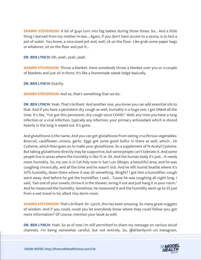**SHAWN STEVENSON:** A lot of guys turn into big babies during those times. So... And a little thing I learned from my mother-in-law... Again, if you don't have access to a sauna, is to boil a pot of water. You know, a nice-sized pot and, well, sit on the floor. Like grab some paper bags or whatever, sit on the floor and put it...

**DR. BEN LYNCH:** Oh, yeah, yeah, yeah.

**SHAWN STEVENSON:** Throw a blanket. Have somebody throw a blanket over you or a couple of blankets and just sit in there. It's like a homemade sweat lodge basically.

**DR. BEN LYNCH:** Exactly.

**SHAWN STEVENSON:** And so, that's something that we do.

**DR. BEN LYNCH:** Yeah. That's brilliant. And another one, you know you can add essential oils to that. And if you have a persistent dry cough as well, humidity is a huge one. I get DMed all the time. It's like, "I've got this persistent, dry cough since COVID." Well, any time you have a lung infection or a viral infection, typically any infection, your primary antioxidant which is stored heavily in the lung is wiped out. It's gone.

And glutathione is the name. And you can get glutathione from eating cruciferous vegetables: Broccoli, cauliflower, onions, garlic. Eggs got some good Sulfur in there as well, which... Or Cysteine, which then goes on to make your glutathione. So a supplement of N-Acetyl Cysteine. But taking glutathione directly may be supportive, but some people can't tolerate it. And some people live in areas where the humidity is like 15 or 20. And the human body it's just... It needs more humidity. So, my son is in Cal Poly now in San Luis Obispo, a beautiful area, and he was coughing chronically, and all the time and he wasn't sick. And he left humid Seattle where it's 50% humidity, down there where it was 20 something. Alright? I got him a humidifier; cough went away. And before he got the humidifier, I said... 'Cause he was coughing all night long. I said, "Get one of your towels, throw it in the shower, wring it out and just hang it in your room." And he measured the humidity. Somehow, he measured it and the humidity went up to 35 just from a wet towel in his albeit tiny dorm room.

**SHAWN STEVENSON:** That's brilliant. Dr. Lynch, this has been amazing. So many great nuggets of wisdom. And if you could, could you let everybody know where they could follow you, get more information? Of course, mention your book as well.

**DR. BEN LYNCH:** Yeah. So as of now I'm still permitted to share my message on various social [channels. I](https://themodelhealthshow.com/dr-ben-lynch/)'[m being somewhat careful, but not entirely. So, @drbenlynch on Instagram.](https://themodelhealthshow.com/dr-ben-lynch/) 

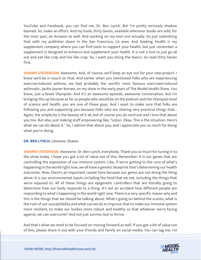YouTube and Facebook, you can find me, Dr. Ben Lynch. But I'm pretty seriously shadow banned. So, make an effort. And my book, Dirty Genes, available wherever books are sold, for the most part, on Amazon as well. And working on my next one actually. So just submitting that with my publisher down in the San Francisco, LA area. And Seeking Health is my supplement company where you can find tools to support your health, but just remember a supplement is designed to enhance and supplement your health. It is not a tool to just go all out and eat like crap and live like crap. So, I want you doing the basics. So read Dirty Genes first.

**SHAWN STEVENSON:** Awesome. And, of course, we'll keep an eye out for your new project. I know we'll be in touch on that. And earlier when you mentioned folks who are experiencing exercise-induced asthma, we had probably the world's most famous exercised-induced asthmatic, Jackie Joyner-Kersee, on my show in the early years of The Model Health Show. You know, just a beast Olympian. And it's an awesome episode, awesome conversation, but I'm bringing this up because as far as people who would be on the podium and the Olympian level of science and health, you are one of those guys. And I want to make sure that folks are following you and supporting you because folks who are sharing very practical things that... Again, the simplicity is the beauty of it all, but of course you do nerd out and I love that about you too. But also, just making stuff empowering like, "Listen. Okay. This is the situation. Here's what we can do about it." So, I admire that about you, and I appreciate you so much for doing what you're doing.

#### **DR. BEN LYNCH:** Likewise, Shawn.

**SHAWN STEVENSON:** Awesome. Dr. Ben Lynch, everybody. Thank you so much for tuning in to the show today. I hope you got a lot of value out of this. Remember, it is our genes that are controlling the expression of our immune system. Like, if we're getting to the core of what's happening in the world right now, we all have a genetic blueprint that's determining our health outcomes. Now, there's an important caveat here because our genes are not doing the thing alone. It is our environmental inputs including the food that we eat, including the things that we're exposed to. All of these things are epigenetic controllers that are literally going to determine how our body responds to a thing. It's not an accident how different people are responding to what's happening in the world right now. There is a very specific reason why and this is the things that we should be talking about: What's going on behind the scenes, what is the root of our susceptibility and what can we do to improve that to make our immune system more resilient, to make our bodies more robust and healthy so that whatever we're facing against, we can overcome? And not just survive, but to thrive.

And that's what we need to be focused on moving forward as well. If you got a lot of value out [of this, please share it out with your friends and family on social media. You can tag me. I](https://themodelhealthshow.com/dr-ben-lynch/)'[m](https://themodelhealthshow.com/dr-ben-lynch/)